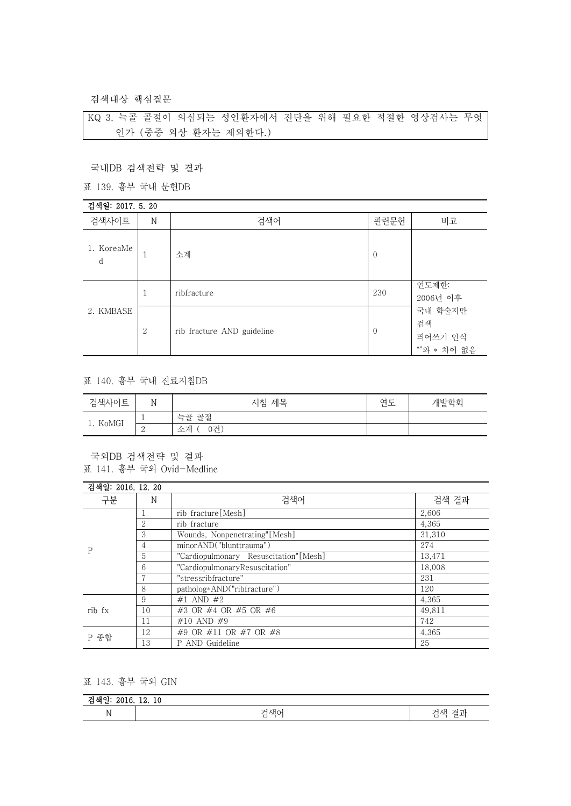검색대상 핵심질문

KQ 3. 늑골 골절이 의심되는 성인환자에서 진단을 위해 필요한 적절한 영상검사는 무엇 인가 (중증 외상 환자는 제외한다.)

국내DB 검색전략 및 결과

표 139. 흉부 국내 문헌DB

| 검색일: 2017. 5. 20 |         |                            |                |                                         |  |
|------------------|---------|----------------------------|----------------|-----------------------------------------|--|
| 검색사이트            | $\rm N$ | 검색어                        | 관련문헌           | 비고                                      |  |
| 1. KoreaMe<br>d  |         | 소계                         | $\overline{0}$ |                                         |  |
| 2. KMBASE        | 1       | ribfracture                | 230            | 연도제한:<br>2006년 이후                       |  |
|                  | 2       | rib fracture AND guideline | $\overline{0}$ | 국내 학술지만<br>검색<br>띄어쓰기 인식<br>""와 * 차이 없음 |  |

## 표 140. 흉부 국내 진료지침DB

| 검색사이트<br>$\overline{\phantom{a}}$ | N                        | 지침 제목               | 여디<br>. <u>.</u><br>– | 개발학회 |
|-----------------------------------|--------------------------|---------------------|-----------------------|------|
| 1. KoMGI                          | $\overline{\phantom{a}}$ | 늑골 골절               |                       |      |
|                                   | ↩                        | $\sim$<br>소계<br>0건, |                       |      |

국외DB 검색전략 및 결과 표 141. 흉부 국외 Ovid-Medline

| 검색일: 2016. 12. 20 |    |                                        |        |
|-------------------|----|----------------------------------------|--------|
| 구분<br>N           |    | 검색어                                    | 검색 결과  |
| P                 |    | rib fracture [Mesh]                    | 2,606  |
|                   | 2  | rib fracture                           | 4,365  |
|                   | 3  | Wounds, Nonpenetrating"[Mesh]          | 31.310 |
|                   | 4  | minorAND("blunttrauma")                | 274    |
|                   | 5  | "Cardiopulmonary Resuscitation" [Mesh] | 13.471 |
|                   | 6  | "CardiopulmonaryResuscitation"         | 18.008 |
|                   |    | "stressribfracture"                    | 231    |
|                   | 8  | patholog*AND("ribfracture")            | 120    |
| rib fx            | 9  | #1 AND #2                              | 4,365  |
|                   | 10 | #3 OR #4 OR #5 OR #6                   | 49,811 |
|                   | 11 | #10 AND #9                             | 742    |
| P 종합              | 12 | #9 OR #11 OR #7 OR #8                  | 4,365  |
|                   | 13 | P AND Guideline                        | 25     |

## 표 143. 흉부 국외 GIN

| $\rightarrow$<br>1V. |                                            |                                                               |  |  |
|----------------------|--------------------------------------------|---------------------------------------------------------------|--|--|
| ъT<br>N<br>TΛ        | 그샌아<br>71<br>$\overline{\phantom{a}}$<br>ப | -<br>ור<br>$\sim$<br>Λп<br>$\overline{\phantom{a}}$<br>ー<br>− |  |  |